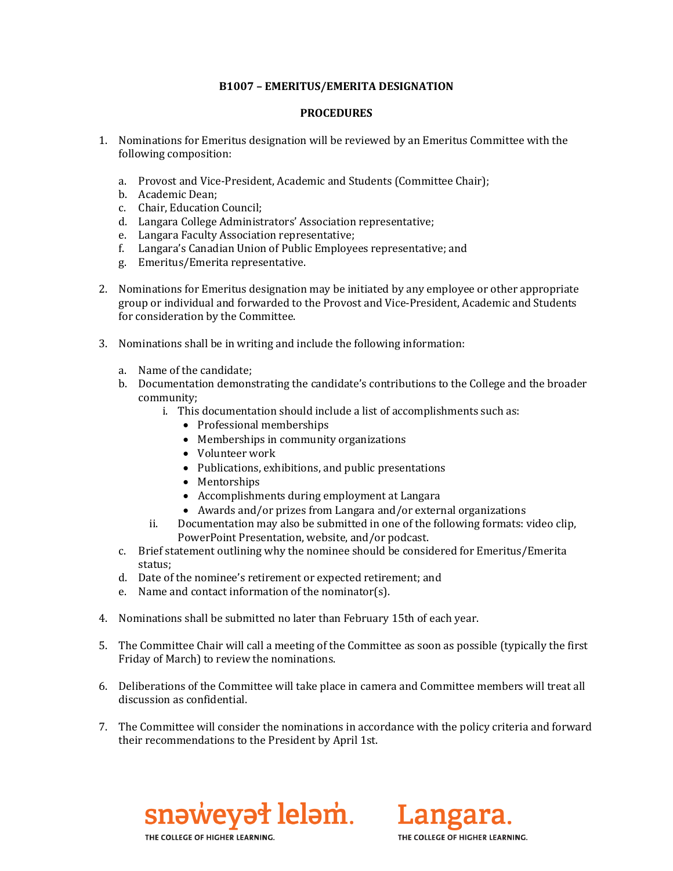## **B1007 – EMERITUS/EMERITA DESIGNATION**

## **PROCEDURES**

- 1. Nominations for Emeritus designation will be reviewed by an Emeritus Committee with the following composition:
	- a. Provost and Vice-President, Academic and Students (Committee Chair);
	- b. Academic Dean;
	- c. Chair, Education Council;
	- d. Langara College Administrators' Association representative;
	- e. Langara Faculty Association representative;
	- f. Langara's Canadian Union of Public Employees representative; and
	- g. Emeritus/Emerita representative.
- 2. Nominations for Emeritus designation may be initiated by any employee or other appropriate group or individual and forwarded to the Provost and Vice-President, Academic and Students for consideration by the Committee.
- 3. Nominations shall be in writing and include the following information:
	- a. Name of the candidate;
	- b. Documentation demonstrating the candidate's contributions to the College and the broader community;
		- i. This documentation should include a list of accomplishments such as:
			- Professional memberships
			- Memberships in community organizations
			- Volunteer work
			- Publications, exhibitions, and public presentations
			- Mentorships
			- Accomplishments during employment at Langara
			- Awards and/or prizes from Langara and/or external organizations
		- ii. Documentation may also be submitted in one of the following formats: video clip, PowerPoint Presentation, website, and/or podcast.
	- c. Brief statement outlining why the nominee should be considered for Emeritus/Emerita status;
	- d. Date of the nominee's retirement or expected retirement; and
	- e. Name and contact information of the nominator(s).
- 4. Nominations shall be submitted no later than February 15th of each year.
- 5. The Committee Chair will call a meeting of the Committee as soon as possible (typically the first Friday of March) to review the nominations.
- 6. Deliberations of the Committee will take place in camera and Committee members will treat all discussion as confidential.
- 7. The Committee will consider the nominations in accordance with the policy criteria and forward their recommendations to the President by April 1st.